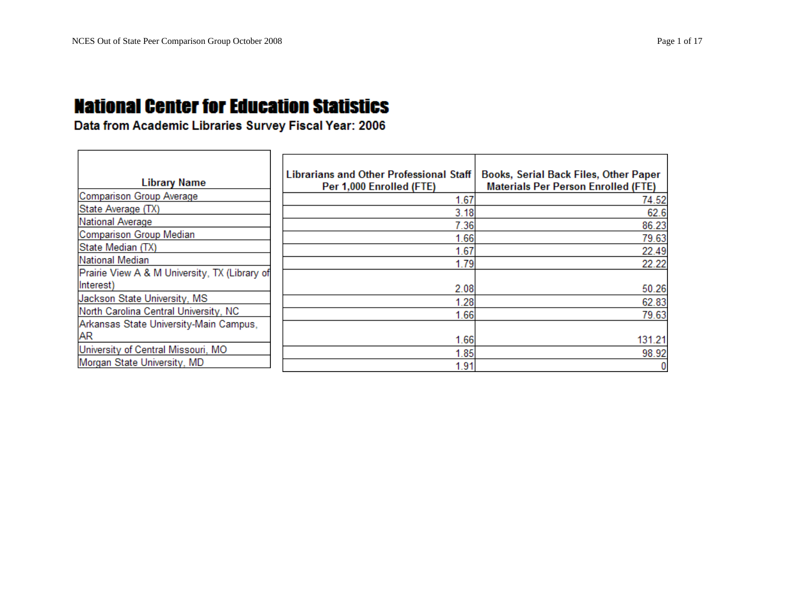| <b>Library Name</b>                           | <b>Librarians and Other Professional Staff</b><br>Per 1,000 Enrolled (FTE) | Books, Serial Back Files, Other Paper<br><b>Materials Per Person Enrolled (FTE)</b> |
|-----------------------------------------------|----------------------------------------------------------------------------|-------------------------------------------------------------------------------------|
| Comparison Group Average                      | 1.67                                                                       | 74.52                                                                               |
| State Average (TX)                            | 3.18                                                                       | 62.6                                                                                |
| National Average                              | 7.36                                                                       | 86.23                                                                               |
| Comparison Group Median                       | 1.66                                                                       | 79.63                                                                               |
| State Median (TX)                             | 1.67                                                                       | 22.49                                                                               |
| National Median                               | 1.79                                                                       | 22.22                                                                               |
| Prairie View A & M University, TX (Library of |                                                                            |                                                                                     |
| (Interest)                                    | 2.08                                                                       | 50.26                                                                               |
| Jackson State University, MS                  | 1.28                                                                       | 62.83                                                                               |
| North Carolina Central University, NC         | 1.66                                                                       | 79.63                                                                               |
| Arkansas State University-Main Campus,        |                                                                            |                                                                                     |
| <b>AR</b>                                     | 1.66                                                                       | 131.21                                                                              |
| University of Central Missouri, MO            | 1.85                                                                       | 98.92                                                                               |
| Morgan State University, MD                   | 1.91                                                                       |                                                                                     |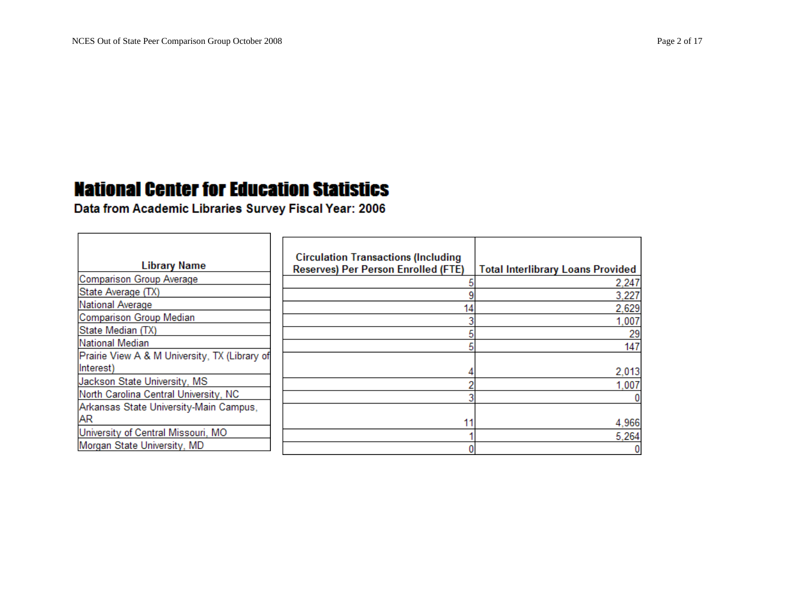$\overline{\phantom{0}}$ 

### **National Center for Education Statistics**

| <b>Library Name</b>                           | <b>Circulation Transactions (Including</b><br><b>Reserves) Per Person Enrolled (FTE)</b> | <b>Total Interlibrary Loans Provided</b> |
|-----------------------------------------------|------------------------------------------------------------------------------------------|------------------------------------------|
| Comparison Group Average                      |                                                                                          | 2,247                                    |
| State Average (TX)                            |                                                                                          | 3,227                                    |
| National Average                              | 14                                                                                       | 2,629                                    |
| Comparison Group Median                       |                                                                                          | 1,007                                    |
| State Median (TX)                             |                                                                                          | 29                                       |
| National Median                               |                                                                                          | 147                                      |
| Prairie View A & M University, TX (Library of |                                                                                          |                                          |
| Interest)                                     |                                                                                          | 2,013                                    |
| Jackson State University, MS                  |                                                                                          | 1,007                                    |
| North Carolina Central University, NC         |                                                                                          |                                          |
| Arkansas State University-Main Campus,        |                                                                                          |                                          |
| <b>AR</b>                                     | 11                                                                                       | 4,966                                    |
| University of Central Missouri, MO            |                                                                                          | 5,264                                    |
| Morgan State University, MD                   |                                                                                          |                                          |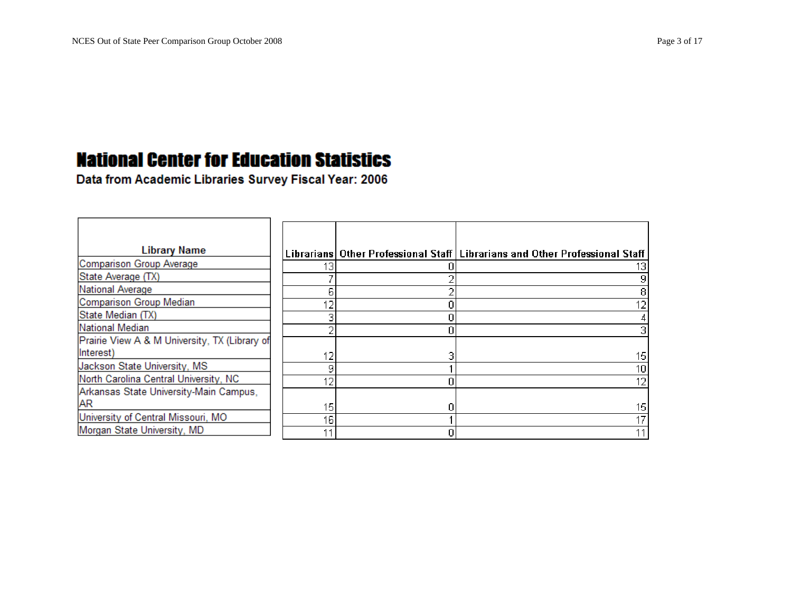| <b>Library Name</b>                           |    | Librarians Other Professional Staff Librarians and Other Professional Staff |
|-----------------------------------------------|----|-----------------------------------------------------------------------------|
| Comparison Group Average                      | 13 |                                                                             |
| State Average (TX)                            |    |                                                                             |
| National Average                              |    |                                                                             |
| Comparison Group Median                       | 12 |                                                                             |
| State Median (TX)                             |    |                                                                             |
| National Median                               |    |                                                                             |
| Prairie View A & M University, TX (Library of |    |                                                                             |
| Interest)                                     | 12 | 15                                                                          |
| Jackson State University, MS                  | a  | 10                                                                          |
| North Carolina Central University, NC         | 12 | 12                                                                          |
| Arkansas State University-Main Campus,        |    |                                                                             |
| <b>AR</b>                                     | 15 | 15                                                                          |
| University of Central Missouri, MO            | 16 |                                                                             |
| Morgan State University, MD                   |    |                                                                             |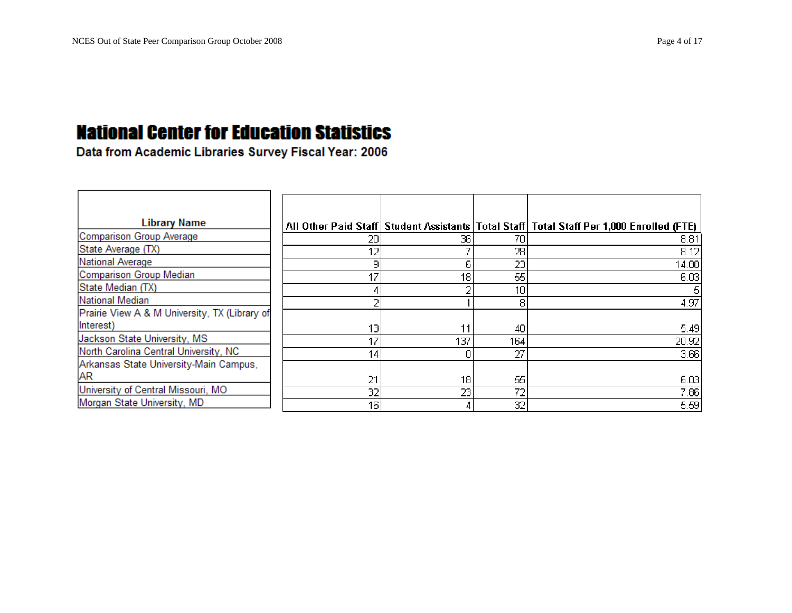| <b>Library Name</b>                           |                 |     |     | All Other Paid Staff   Student Assistants   Total Staff   Total Staff Per 1,000 Enrolled (FTE) |
|-----------------------------------------------|-----------------|-----|-----|------------------------------------------------------------------------------------------------|
| Comparison Group Average                      | 20              | 36  | 70  | 8.81                                                                                           |
| State Average (TX)                            | 12              |     | 28  | 8.12                                                                                           |
| National Average                              | 9               | Б   | 23  | 14.88                                                                                          |
| Comparison Group Median                       | 17              | 18  | 55  | 6.03                                                                                           |
| State Median (TX)                             |                 |     | 10  |                                                                                                |
| National Median                               |                 |     |     | 4.97                                                                                           |
| Prairie View A & M University, TX (Library of |                 |     |     |                                                                                                |
| Interest)                                     | 13              | 11  | 40  | 5.49                                                                                           |
| Jackson State University, MS                  | 17              | 137 | 164 | 20.92                                                                                          |
| North Carolina Central University, NC         | 14 <sub>1</sub> |     | 27  | 3.66                                                                                           |
| Arkansas State University-Main Campus,        |                 |     |     |                                                                                                |
| <b>AR</b>                                     | 21              | 18  | 55  | 6.03                                                                                           |
| University of Central Missouri, MO            | 32              | 23  | 72  | 7.86                                                                                           |
| Morgan State University, MD                   | 16              |     | 32  | 5.59                                                                                           |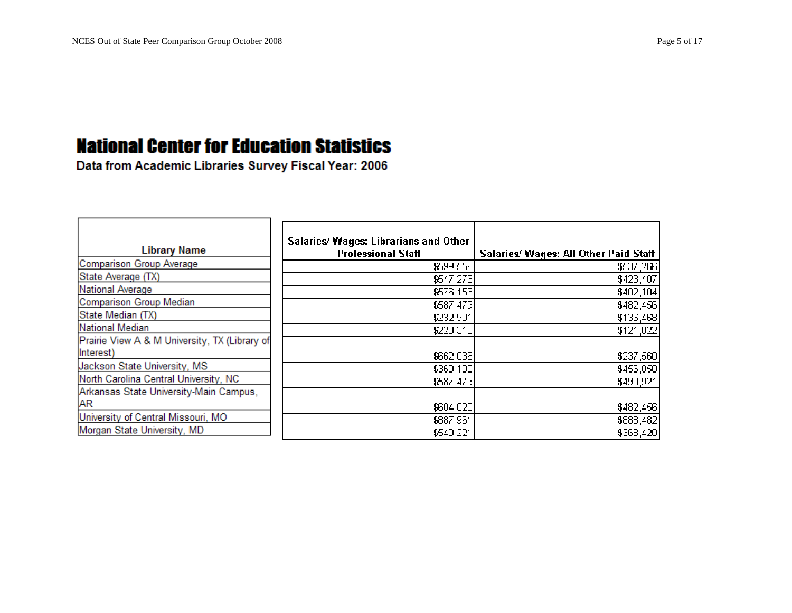| <b>Library Name</b>                           | Salaries/ Wages: Librarians and Other<br><b>Professional Staff</b> | Salaries/ Wages: All Other Paid Staff |
|-----------------------------------------------|--------------------------------------------------------------------|---------------------------------------|
| Comparison Group Average                      | \$599,556                                                          | \$537,266                             |
| State Average (TX)                            | \$547,273                                                          | \$423,407                             |
| National Average                              | \$576,153                                                          | \$402,104                             |
| Comparison Group Median                       | \$587,479                                                          | \$482,456                             |
| State Median (TX)                             | \$232,901                                                          | \$136,468                             |
| National Median                               | \$220,310                                                          | \$121,822                             |
| Prairie View A & M University, TX (Library of |                                                                    |                                       |
| Interest)                                     | \$662,036                                                          | \$237,560                             |
| Jackson State University, MS                  | \$369,100                                                          | \$456,050                             |
| North Carolina Central University, NC         | \$587,479                                                          | \$490,921                             |
| Arkansas State University-Main Campus,        |                                                                    |                                       |
| <b>AR</b>                                     | \$604,020                                                          | \$482,456                             |
| University of Central Missouri, MO            | \$887,961                                                          | \$888,482                             |
| Morgan State University, MD                   | \$549,221                                                          | \$368,420                             |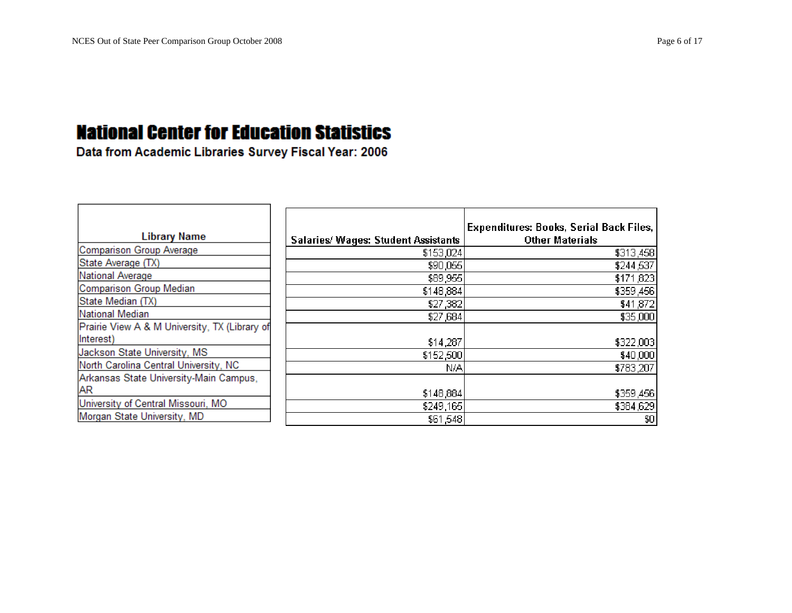| <b>Library Name</b>                           | <b>Salaries/ Wages: Student Assistants</b> | <b>Expenditures: Books, Serial Back Files,</b><br><b>Other Materials</b> |
|-----------------------------------------------|--------------------------------------------|--------------------------------------------------------------------------|
| Comparison Group Average                      | \$153,024                                  | \$313,458                                                                |
| State Average (TX)                            | \$90,055                                   | \$244,537                                                                |
| National Average                              | \$89,955                                   | \$171,823                                                                |
| Comparison Group Median                       | \$148,884                                  | \$359,456                                                                |
| State Median (TX)                             | \$27,382                                   | \$41,872                                                                 |
| National Median                               | \$27,684                                   | \$35,000                                                                 |
| Prairie View A & M University, TX (Library of |                                            |                                                                          |
| Interest)                                     | \$14,287                                   | \$322,003                                                                |
| Jackson State University, MS                  | \$152,500                                  | \$40,000                                                                 |
| North Carolina Central University, NC         | N/A                                        | \$783,207                                                                |
| Arkansas State University-Main Campus,        |                                            |                                                                          |
| AR                                            | \$148,884                                  | \$359,456                                                                |
| University of Central Missouri, MO            | \$249,165                                  | \$384,629                                                                |
| Morgan State University, MD                   | \$61,548                                   | \$0                                                                      |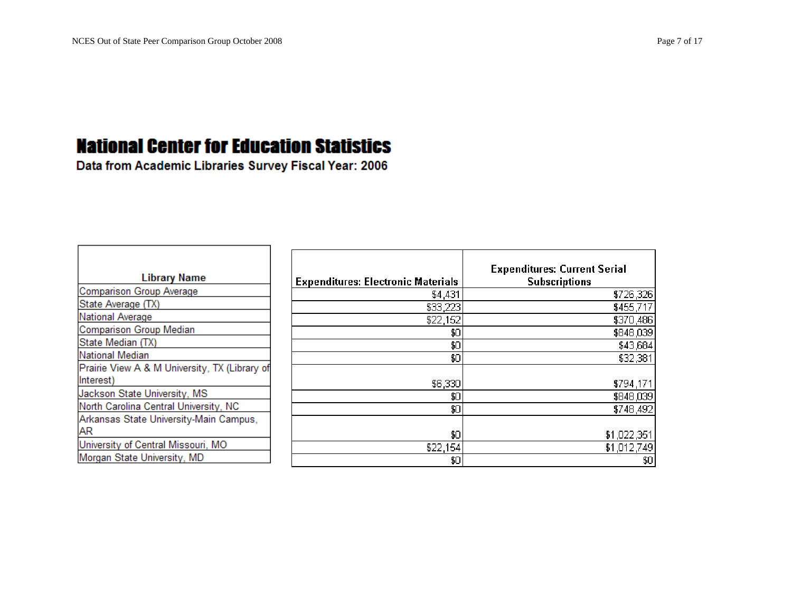| <b>Library Name</b>                           | Expendi |
|-----------------------------------------------|---------|
| <b>Comparison Group Average</b>               |         |
| State Average (TX)                            |         |
| National Average                              |         |
| <b>Comparison Group Median</b>                |         |
| State Median (TX)                             |         |
| National Median                               |         |
| Prairie View A & M University, TX (Library of |         |
| Interest)                                     |         |
| Jackson State University, MS                  |         |
| North Carolina Central University, NC         |         |
| Arkansas State University-Main Campus,        |         |
| AR                                            |         |
| University of Central Missouri, MO            |         |
| Morgan State University, MD                   |         |

| <b>Expenditures: Electronic Materials</b> | <b>Expenditures: Current Serial</b><br><b>Subscriptions</b> |
|-------------------------------------------|-------------------------------------------------------------|
| \$4,431                                   | \$726,326                                                   |
| \$33,223                                  | \$455,717                                                   |
| \$22,152                                  | \$370,486                                                   |
| \$0                                       | \$848,039                                                   |
| \$0                                       | \$43,684                                                    |
| \$0                                       | \$32,381                                                    |
|                                           |                                                             |
| \$6,330                                   | \$794,171                                                   |
| \$0                                       | \$848,039                                                   |
| \$0                                       | \$748,492                                                   |
|                                           |                                                             |
| \$0                                       | \$1,022,351                                                 |
| \$22,154                                  | \$1,012,749                                                 |
| \$0                                       | \$0                                                         |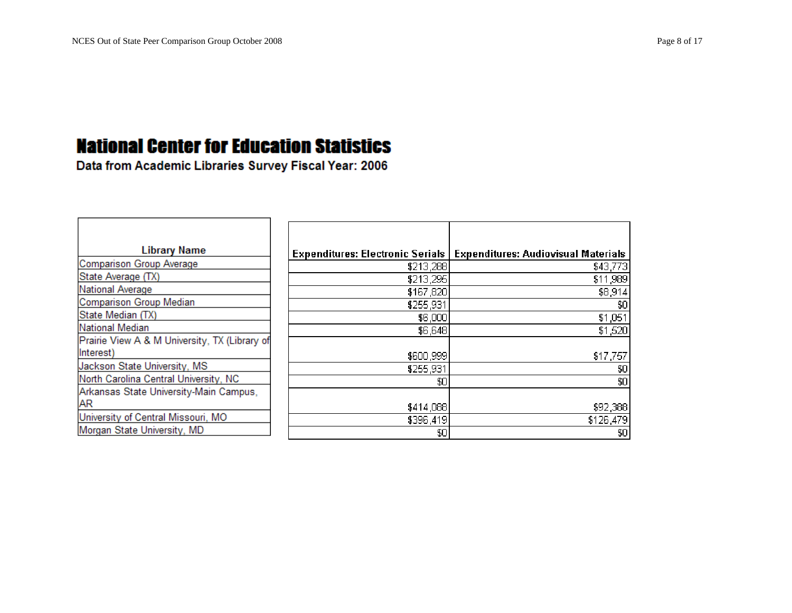| <b>Library Name</b>                           | <b>Expenditures: Electronic Serials  </b> | <b>Expenditures: Audiovisual Materials</b> |
|-----------------------------------------------|-------------------------------------------|--------------------------------------------|
| Comparison Group Average                      | \$213,288                                 | \$43,773                                   |
| State Average (TX)                            | \$213,295                                 | \$11,989                                   |
| National Average                              | \$167,820                                 | \$8,914                                    |
| Comparison Group Median                       | \$255,931                                 | \$0                                        |
| State Median (TX)                             | \$6,000                                   | \$1,051                                    |
| National Median                               | \$6,648                                   | \$1,520                                    |
| Prairie View A & M University, TX (Library of |                                           |                                            |
| Interest)                                     | \$600,999                                 | \$17,757                                   |
| Jackson State University, MS                  | \$255,931                                 | \$0                                        |
| North Carolina Central University, NC         | \$0                                       | \$0                                        |
| Arkansas State University-Main Campus,        |                                           |                                            |
| AR                                            | \$414,088                                 | \$92,388                                   |
| University of Central Missouri, MO            | \$396,419                                 | \$126,479                                  |
| Morgan State University, MD                   | \$0                                       | \$0                                        |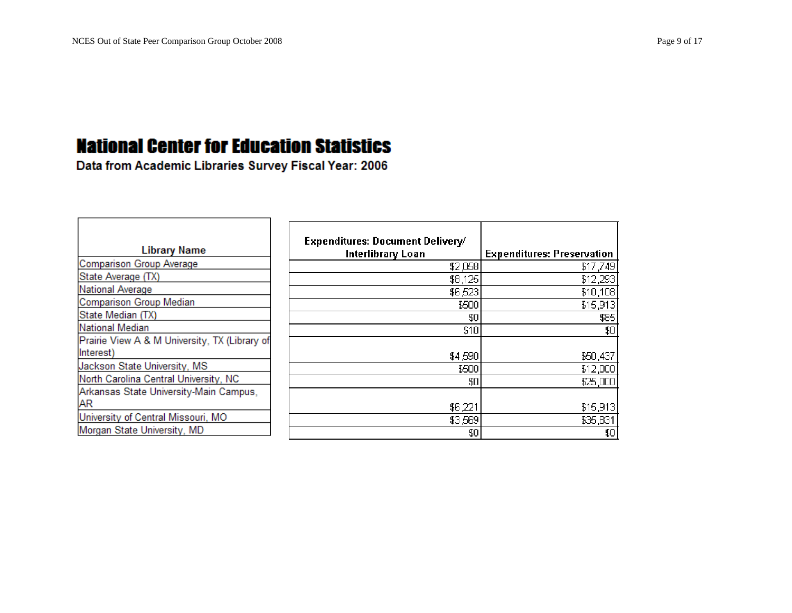| <b>Library Name</b>                                        | <b>Expenditures: Document Delivery/</b><br>Interlibrary Loan | <b>Expenditures: Preservation</b> |
|------------------------------------------------------------|--------------------------------------------------------------|-----------------------------------|
| Comparison Group Average                                   | \$2,058                                                      | \$17,749                          |
| State Average (TX)                                         | \$8,125                                                      | \$12,293                          |
| National Average                                           | \$6,523                                                      | \$10,108                          |
| Comparison Group Median                                    | \$500                                                        | \$15,913                          |
| State Median (TX)                                          | \$0                                                          | \$85                              |
| National Median                                            | \$10                                                         | \$0                               |
| Prairie View A & M University, TX (Library of<br>Interest) |                                                              |                                   |
|                                                            | \$4,590                                                      | \$50,437                          |
| Jackson State University, MS                               | \$500                                                        | \$12,000                          |
| North Carolina Central University, NC                      | \$0                                                          | \$25,000                          |
| Arkansas State University-Main Campus,                     |                                                              |                                   |
| <b>AR</b>                                                  | \$6,221                                                      | \$15,913                          |
| University of Central Missouri, MO                         | \$3,569                                                      | \$35,831                          |
| Morgan State University, MD                                | \$0                                                          | \$0                               |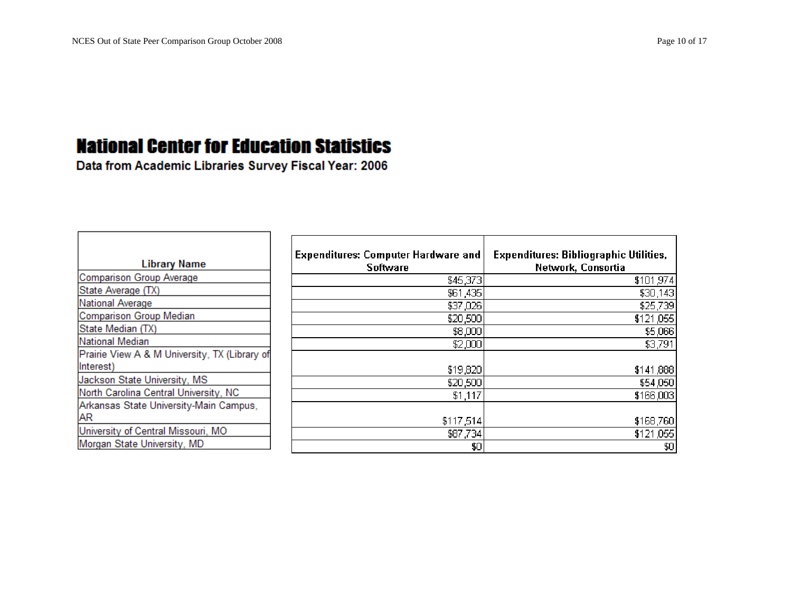Data from Academic Libraries Survey Fiscal Year: 2006

H.

| <b>Library Name</b>                                                             | <b>Expenditures: Computer Hardware and</b><br><b>Software</b> | <b>Expenditures: Bibliographic Utilities,</b><br>Network, Consortia |
|---------------------------------------------------------------------------------|---------------------------------------------------------------|---------------------------------------------------------------------|
| Comparison Group Average                                                        | \$45,373                                                      | \$101,974                                                           |
| State Average (TX)                                                              | \$61,435                                                      | \$30,143                                                            |
| National Average                                                                | \$37,026                                                      | \$25,739                                                            |
| Comparison Group Median                                                         | \$20,500                                                      | \$121,055                                                           |
| State Median (TX)                                                               | \$8,000                                                       | \$5,066                                                             |
| National Median                                                                 | \$2,000                                                       | \$3,791                                                             |
| Prairie View A & M University, TX (Library of<br>Interest)                      | \$19,820                                                      | \$141,888                                                           |
| Jackson State University, MS                                                    | \$20,500                                                      | \$54,050                                                            |
| North Carolina Central University, NC<br>Arkansas State University-Main Campus, | \$1,117                                                       | \$166,003                                                           |
| <b>AR</b>                                                                       | \$117,514                                                     | \$168,760                                                           |
| University of Central Missouri, MO                                              | \$87,734                                                      | \$121,055                                                           |
| Morgan State University, MD                                                     | \$0                                                           | \$0                                                                 |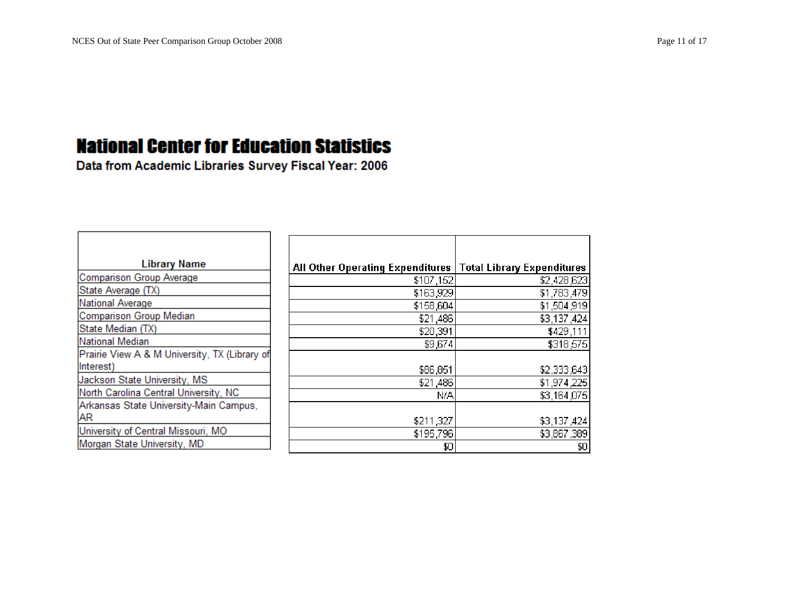| <b>Library Name</b>                           | All Other Operating Expenditures   Total Library Expenditures |             |
|-----------------------------------------------|---------------------------------------------------------------|-------------|
| Comparison Group Average                      | \$107,152                                                     | \$2,428,623 |
| State Average (TX)                            | \$163,929                                                     | \$1,783,479 |
| National Average                              | \$158,604                                                     | \$1,504,919 |
| Comparison Group Median                       | \$21,486                                                      | \$3,137,424 |
| State Median (TX)                             | \$20,391                                                      | \$429,111   |
| National Median                               | \$9,674                                                       | \$318,575   |
| Prairie View A & M University, TX (Library of |                                                               |             |
| Interest)                                     | \$86,851                                                      | \$2,333,643 |
| Jackson State University, MS                  | \$21,486                                                      | \$1,974,225 |
| North Carolina Central University, NC         | N/A                                                           | \$3,164,075 |
| Arkansas State University-Main Campus,        |                                                               |             |
| AR                                            | \$211,327                                                     | \$3,137,424 |
| University of Central Missouri, MO            | \$195,796                                                     | \$3,867,389 |
| Morgan State University, MD                   | \$0                                                           | \$0         |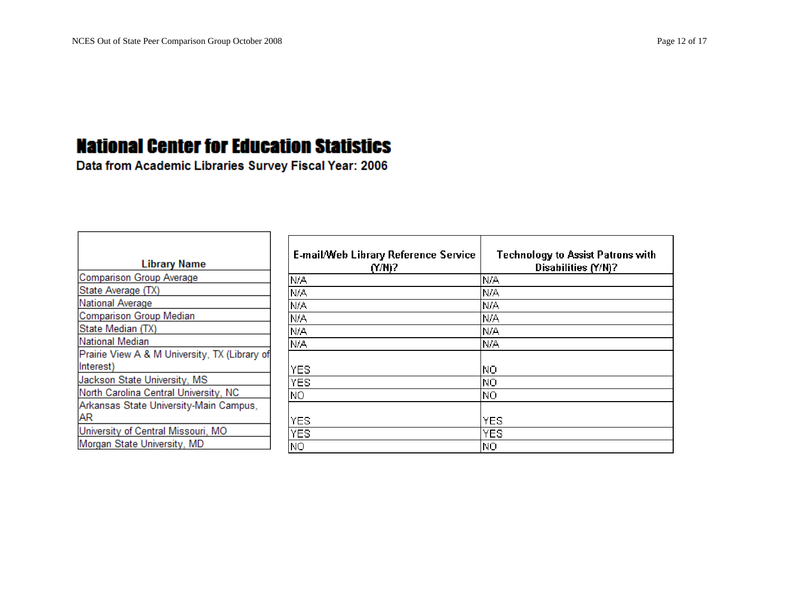Data from Academic Libraries Survey Fiscal Year: 2006

H.

| <b>Library Name</b>                                        | <b>E-mail/Web Library Reference Service</b><br>$(Y/N)$ ? | <b>Technology to Assist Patrons with</b><br>Disabilities (Y/N)? |
|------------------------------------------------------------|----------------------------------------------------------|-----------------------------------------------------------------|
| Comparison Group Average                                   | N/A                                                      | N/A                                                             |
| State Average (TX)                                         | N/A                                                      | N/A                                                             |
| National Average                                           | N/A                                                      | N/A                                                             |
| Comparison Group Median                                    | N/A                                                      | N/A                                                             |
| State Median (TX)                                          | N/A                                                      | N/A                                                             |
| National Median                                            | N/A                                                      | N/A                                                             |
| Prairie View A & M University, TX (Library of<br>Interest) | <b>YES</b>                                               | ΝO                                                              |
| Jackson State University, MS                               | <b>YES</b>                                               | ΝO                                                              |
| North Carolina Central University, NC                      | NO.                                                      | NO.                                                             |
| Arkansas State University-Main Campus,<br><b>AR</b>        | <b>YES</b>                                               | <b>YES</b>                                                      |
| University of Central Missouri, MO                         | <b>YES</b>                                               | <b>YES</b>                                                      |
| Morgan State University, MD                                | NO.                                                      | NO.                                                             |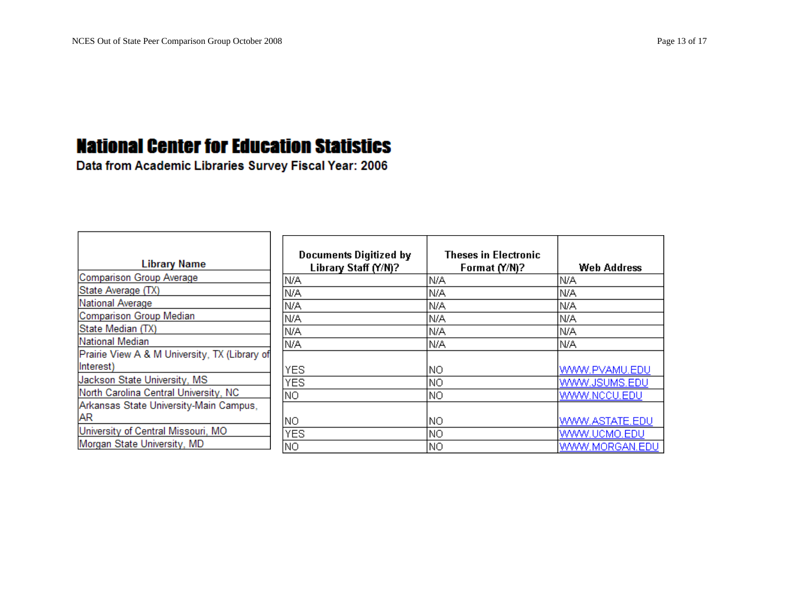| <b>Library Name</b>                                        | <b>Documents Digitized by</b><br>Library Staff (Y/N)? | <b>Theses in Electronic</b><br>Format (Y/N)? | Web Address    |
|------------------------------------------------------------|-------------------------------------------------------|----------------------------------------------|----------------|
| Comparison Group Average                                   | N/A                                                   | N/A                                          | IN/A           |
| State Average (TX)                                         | N/A                                                   | N/A                                          | N/A            |
| National Average                                           | N/A                                                   | N/A                                          | IN/A           |
| Comparison Group Median                                    | N/A                                                   | N/A                                          | N/A            |
| State Median (TX)                                          | N/A                                                   | N/A                                          | N/A            |
| National Median                                            | N/A                                                   | N/A                                          | N/A            |
| Prairie View A & M University, TX (Library of<br>Interest) | YES.                                                  | ΝO                                           | WWW.PVAMU.EDU  |
| Jackson State University, MS                               | <b>YES</b>                                            | ΝO                                           | WWW.JSUMS.EDU  |
| North Carolina Central University, NC                      | NO.                                                   | NO.                                          | WWW.NCCU.EDU   |
| Arkansas State University-Main Campus,<br><b>AR</b>        | NO.                                                   | ΝO                                           | WWW.ASTATE.EDU |
| University of Central Missouri, MO                         | <b>YES</b>                                            | NO.                                          | WWW.UCMO.EDU   |
| Morgan State University, MD                                | NO.                                                   | ΝO                                           | WWW.MORGAN.EDU |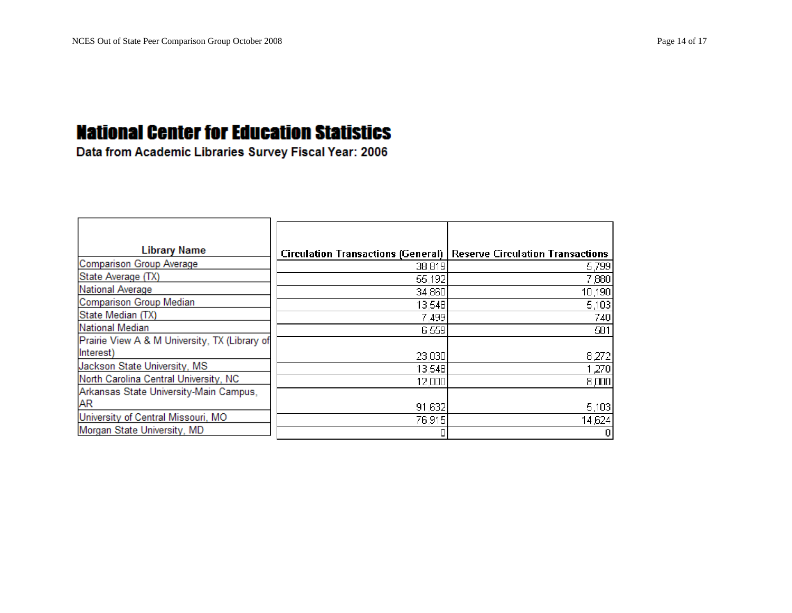| <b>Library Name</b>                           | Circulation Transactions (General)   Reserve Circulation Transactions |         |
|-----------------------------------------------|-----------------------------------------------------------------------|---------|
| Comparison Group Average                      | 38,819                                                                | 5,799   |
| State Average (TX)                            | 55,192                                                                | 7,880   |
| National Average                              | 34,860                                                                | 10,190  |
| Comparison Group Median                       | 13,548                                                                | 5,103   |
| State Median (TX)                             | 7,499                                                                 | 740     |
| National Median                               | 6,559                                                                 | 581     |
| Prairie View A & M University, TX (Library of |                                                                       |         |
| Interest)                                     | 23,030                                                                | 8,272   |
| Jackson State University, MS                  | 13,548                                                                | 1,270   |
| North Carolina Central University, NC         | 12,000                                                                | 8,000   |
| Arkansas State University-Main Campus,        |                                                                       |         |
| <b>AR</b>                                     | 91,632                                                                | 5,103   |
| University of Central Missouri, MO            | 76,915                                                                | 14,624  |
| Morgan State University, MD                   |                                                                       | $\vert$ |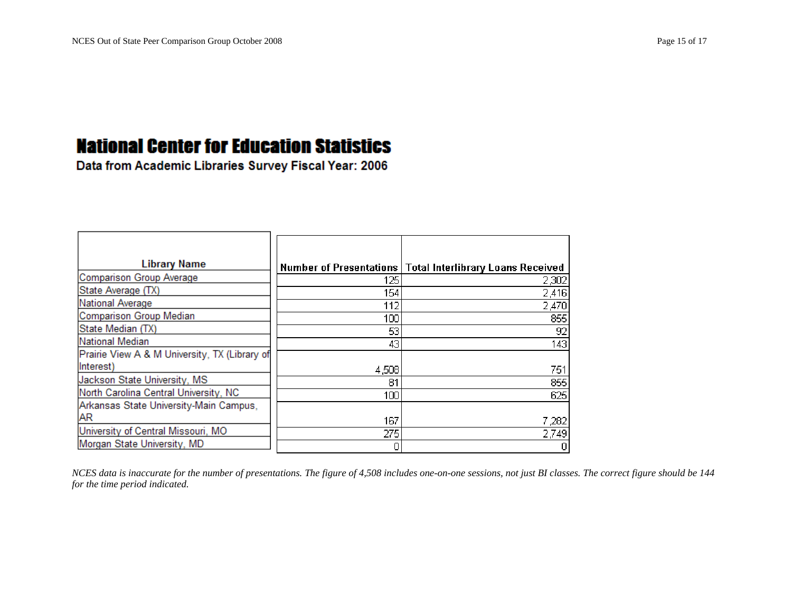$\blacksquare$ 

#### **National Center for Education Statistics**

Data from Academic Libraries Survey Fiscal Year: 2006

т.

| <b>Library Name</b>                           |       | Number of Presentations   Total Interlibrary Loans Received |
|-----------------------------------------------|-------|-------------------------------------------------------------|
| Comparison Group Average                      | 125   | 2,302                                                       |
| State Average (TX)                            | 154   | 2,416                                                       |
| National Average                              | 112   | 2,470                                                       |
| Comparison Group Median                       | 100   | 855                                                         |
| State Median (TX)                             | 53    | 92                                                          |
| <b>National Median</b>                        | 43    | 143                                                         |
| Prairie View A & M University, TX (Library of |       |                                                             |
| Interest)                                     | 4,508 | 751                                                         |
| Jackson State University, MS                  | 81    | 855                                                         |
| North Carolina Central University, NC         | 100   | 625                                                         |
| Arkansas State University-Main Campus,        |       |                                                             |
| <b>AR</b>                                     | 167   | 7,282                                                       |
| University of Central Missouri, MO            | 275   | 2,749                                                       |
| Morgan State University, MD                   |       | $\overline{0}$                                              |

*NCES data is inaccurate for the number of presentations. The figure of 4,508 includes one-on-one sessions, not just BI classes. The correct figure should be 144 for the time period indicated.*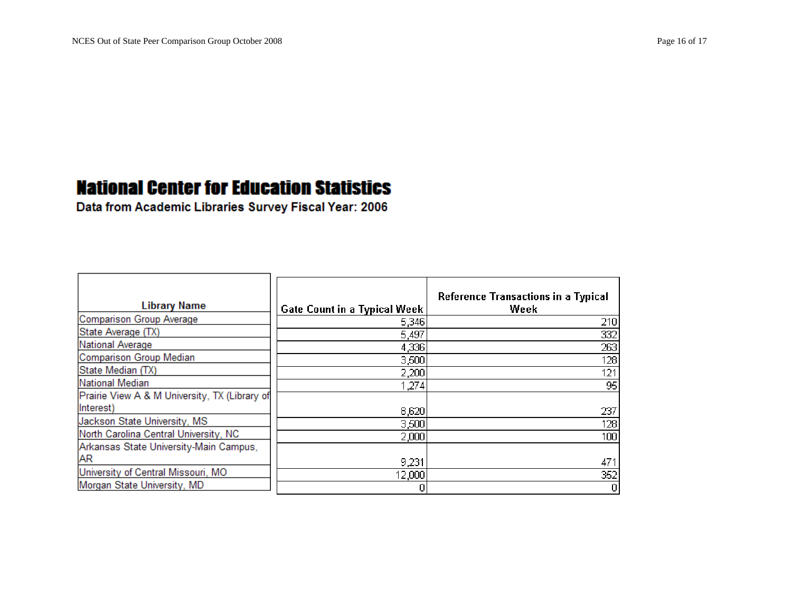| <b>Library Name</b>                           | <b>Gate Count in a Typical Week</b> | Reference Transactions in a Typical<br>Week |
|-----------------------------------------------|-------------------------------------|---------------------------------------------|
| Comparison Group Average                      | 5,346                               | 210                                         |
| State Average (TX)                            | 5,497                               | 332                                         |
| National Average                              | 4,336                               | 263                                         |
| Comparison Group Median                       | 3,500                               | 128                                         |
| State Median (TX)                             | 2,200                               | 121                                         |
| National Median                               | 1,274                               | 95                                          |
| Prairie View A & M University, TX (Library of |                                     |                                             |
| Interest)                                     | 8,620                               | 237                                         |
| Jackson State University, MS                  | 3,500                               | 128                                         |
| North Carolina Central University, NC         | 2,000                               | 100                                         |
| Arkansas State University-Main Campus,        |                                     |                                             |
| <b>AR</b>                                     | 9,231                               | 471                                         |
| University of Central Missouri, MO            | 12,000                              | 352                                         |
| Morgan State University, MD                   |                                     | 0                                           |